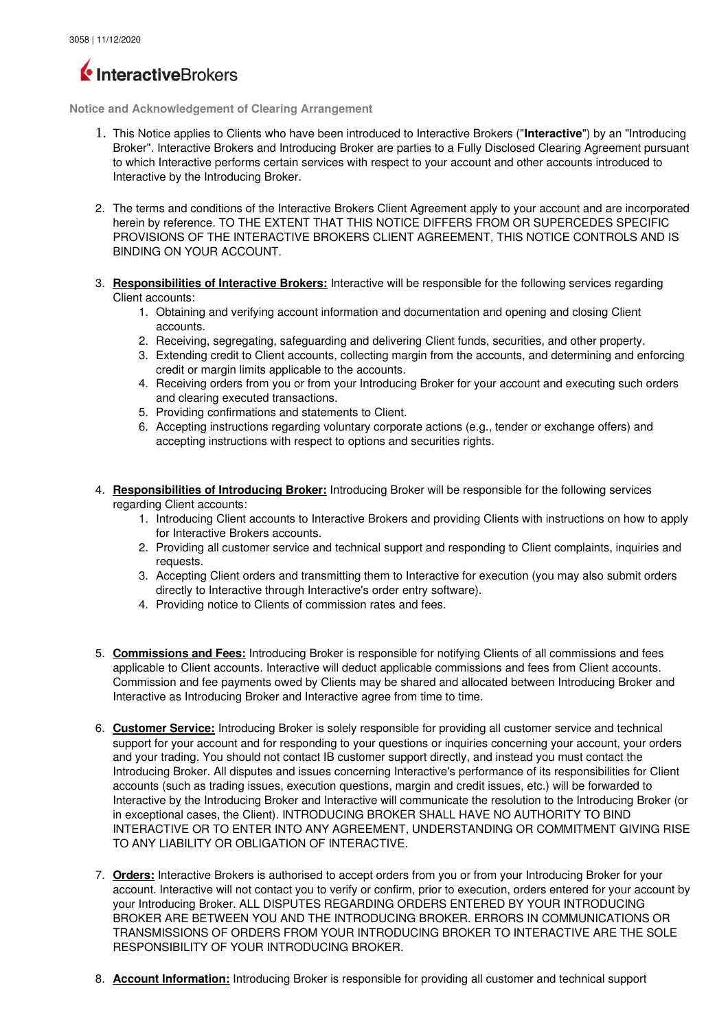## InteractiveBrokers

**Notice and Acknowledgement of Clearing Arrangement**

- 1. This Notice applies to Clients who have been introduced to Interactive Brokers ("**Interactive**") by an "Introducing Broker". Interactive Brokers and Introducing Broker are parties to a Fully Disclosed Clearing Agreement pursuant to which Interactive performs certain services with respect to your account and other accounts introduced to Interactive by the Introducing Broker.
- 2. The terms and conditions of the Interactive Brokers Client Agreement apply to your account and are incorporated herein by reference. TO THE EXTENT THAT THIS NOTICE DIFFERS FROM OR SUPERCEDES SPECIFIC PROVISIONS OF THE INTERACTIVE BROKERS CLIENT AGREEMENT, THIS NOTICE CONTROLS AND IS BINDING ON YOUR ACCOUNT.
- 3. **Responsibilities of Interactive Brokers:** Interactive will be responsible for the following services regarding Client accounts:
	- 1. Obtaining and verifying account information and documentation and opening and closing Client accounts.
	- 2. Receiving, segregating, safeguarding and delivering Client funds, securities, and other property.
	- 3. Extending credit to Client accounts, collecting margin from the accounts, and determining and enforcing credit or margin limits applicable to the accounts.
	- 4. Receiving orders from you or from your Introducing Broker for your account and executing such orders and clearing executed transactions.
	- 5. Providing confirmations and statements to Client.
	- 6. Accepting instructions regarding voluntary corporate actions (e.g., tender or exchange offers) and accepting instructions with respect to options and securities rights.
- 4. **Responsibilities of Introducing Broker:** Introducing Broker will be responsible for the following services regarding Client accounts:
	- 1. Introducing Client accounts to Interactive Brokers and providing Clients with instructions on how to apply for Interactive Brokers accounts.
	- 2. Providing all customer service and technical support and responding to Client complaints, inquiries and requests.
	- 3. Accepting Client orders and transmitting them to Interactive for execution (you may also submit orders directly to Interactive through Interactive's order entry software).
	- 4. Providing notice to Clients of commission rates and fees.
- 5. **Commissions and Fees:** Introducing Broker is responsible for notifying Clients of all commissions and fees applicable to Client accounts. Interactive will deduct applicable commissions and fees from Client accounts. Commission and fee payments owed by Clients may be shared and allocated between Introducing Broker and Interactive as Introducing Broker and Interactive agree from time to time.
- 6. **Customer Service:** Introducing Broker is solely responsible for providing all customer service and technical support for your account and for responding to your questions or inquiries concerning your account, your orders and your trading. You should not contact IB customer support directly, and instead you must contact the Introducing Broker. All disputes and issues concerning Interactive's performance of its responsibilities for Client accounts (such as trading issues, execution questions, margin and credit issues, etc.) will be forwarded to Interactive by the Introducing Broker and Interactive will communicate the resolution to the Introducing Broker (or in exceptional cases, the Client). INTRODUCING BROKER SHALL HAVE NO AUTHORITY TO BIND INTERACTIVE OR TO ENTER INTO ANY AGREEMENT, UNDERSTANDING OR COMMITMENT GIVING RISE TO ANY LIABILITY OR OBLIGATION OF INTERACTIVE.
- 7. **Orders:** Interactive Brokers is authorised to accept orders from you or from your Introducing Broker for your account. Interactive will not contact you to verify or confirm, prior to execution, orders entered for your account by your Introducing Broker. ALL DISPUTES REGARDING ORDERS ENTERED BY YOUR INTRODUCING BROKER ARE BETWEEN YOU AND THE INTRODUCING BROKER. ERRORS IN COMMUNICATIONS OR TRANSMISSIONS OF ORDERS FROM YOUR INTRODUCING BROKER TO INTERACTIVE ARE THE SOLE RESPONSIBILITY OF YOUR INTRODUCING BROKER.
- 8. **Account Information:** Introducing Broker is responsible for providing all customer and technical support